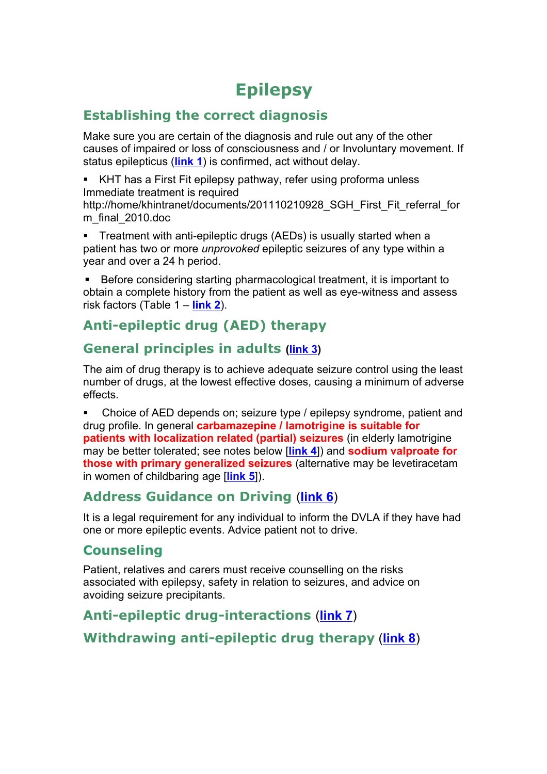### **Epilepsy**

#### **Establishing the correct diagnosis**

Make sure you are certain of the diagnosis and rule out any of the other causes of impaired or loss of consciousness and / or Involuntary movement. If status epilepticus (**link 1**) is confirmed, act without delay.

KHT has a First Fit epilepsy pathway, refer using proforma unless Immediate treatment is required

http://home/khintranet/documents/201110210928\_SGH\_First\_Fit\_referral\_for m\_final\_2010.doc

**EXECT** Treatment with anti-epileptic drugs (AEDs) is usually started when a patient has two or more *unprovoked* epileptic seizures of any type within a year and over a 24 h period.

! Before considering starting pharmacological treatment, it is important to obtain a complete history from the patient as well as eye-witness and assess risk factors (Table 1 – **link 2**).

### **Anti-epileptic drug (AED) therapy**

#### **General principles in adults (link 3)**

The aim of drug therapy is to achieve adequate seizure control using the least number of drugs, at the lowest effective doses, causing a minimum of adverse effects.

! Choice of AED depends on; seizure type / epilepsy syndrome, patient and drug profile. In general **carbamazepine / lamotrigine is suitable for patients with localization related (partial) seizures** (in elderly lamotrigine may be better tolerated; see notes below [**link 4**]) and **sodium valproate for those with primary generalized seizures** (alternative may be levetiracetam in women of childbaring age [**link 5**]).

#### **Address Guidance on Driving** (**link 6**)

It is a legal requirement for any individual to inform the DVLA if they have had one or more epileptic events. Advice patient not to drive.

#### **Counseling**

Patient, relatives and carers must receive counselling on the risks associated with epilepsy, safety in relation to seizures, and advice on avoiding seizure precipitants.

### **Anti-epileptic drug-interactions** (**link 7**)

**Withdrawing anti-epileptic drug therapy** (**link 8**)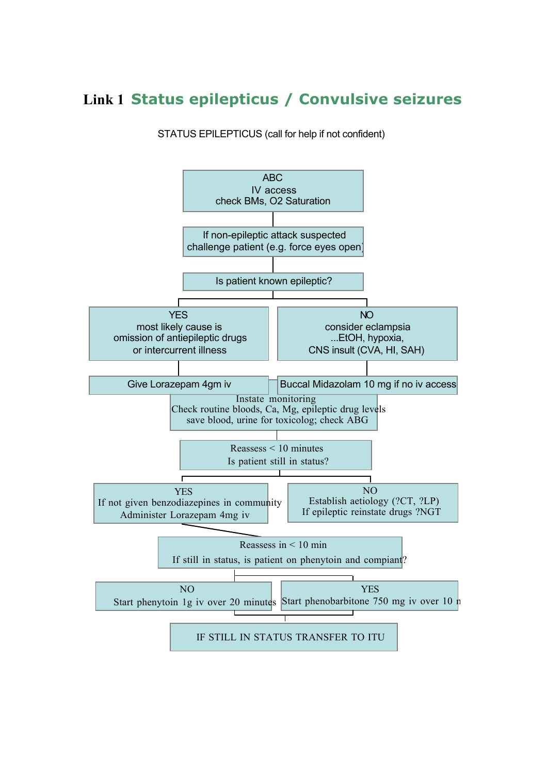### **Link 1 Status epilepticus / Convulsive seizures**

#### STATUS EPILEPTICUS (call for help if not confident)

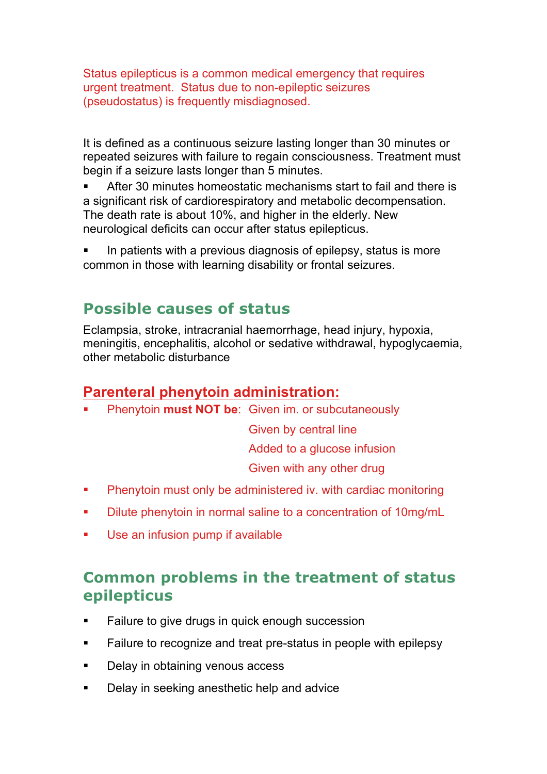Status epilepticus is a common medical emergency that requires urgent treatment. Status due to non-epileptic seizures (pseudostatus) is frequently misdiagnosed.

It is defined as a continuous seizure lasting longer than 30 minutes or repeated seizures with failure to regain consciousness. Treatment must begin if a seizure lasts longer than 5 minutes.

After 30 minutes homeostatic mechanisms start to fail and there is a significant risk of cardiorespiratory and metabolic decompensation. The death rate is about 10%, and higher in the elderly. New neurological deficits can occur after status epilepticus.

In patients with a previous diagnosis of epilepsy, status is more common in those with learning disability or frontal seizures.

### **Possible causes of status**

Eclampsia, stroke, intracranial haemorrhage, head injury, hypoxia, meningitis, encephalitis, alcohol or sedative withdrawal, hypoglycaemia, other metabolic disturbance

### **Parenteral phenytoin administration:**

! Phenytoin **must NOT be**: Given im. or subcutaneously

Given by central line Added to a glucose infusion

Given with any other drug

- **EXECUTE:** Phenytoin must only be administered iv. with cardiac monitoring
- ! Dilute phenytoin in normal saline to a concentration of 10mg/mL
- **Use an infusion pump if available**

### **Common problems in the treatment of status epilepticus**

- **EXECT** Failure to give drugs in quick enough succession
- ! Failure to recognize and treat pre-status in people with epilepsy
- **•** Delay in obtaining venous access
- **Delay in seeking anesthetic help and advice**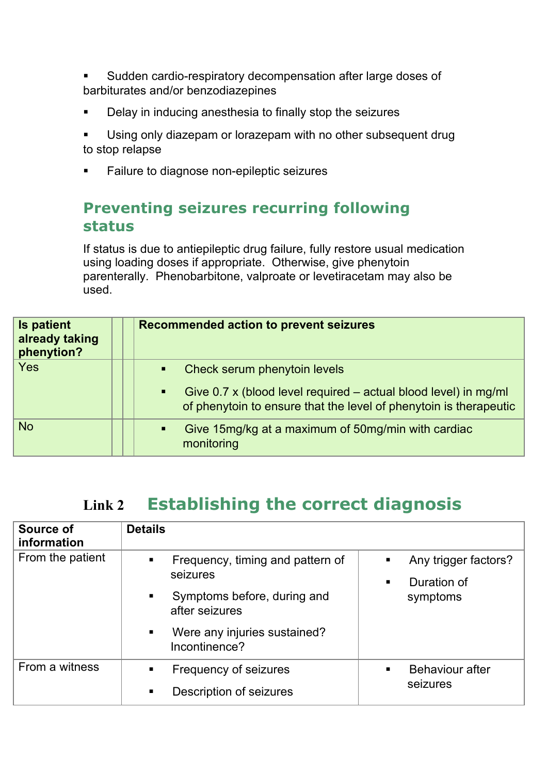- Sudden cardio-respiratory decompensation after large doses of barbiturates and/or benzodiazepines
- ! Delay in inducing anesthesia to finally stop the seizures
- Using only diazepam or lorazepam with no other subsequent drug to stop relapse
- ! Failure to diagnose non-epileptic seizures

### **Preventing seizures recurring following status**

If status is due to antiepileptic drug failure, fully restore usual medication using loading doses if appropriate. Otherwise, give phenytoin parenterally. Phenobarbitone, valproate or levetiracetam may also be used.

| <b>Is patient</b><br>already taking<br>phenytion? | <b>Recommended action to prevent seizures</b>                                                                                                                 |  |  |  |
|---------------------------------------------------|---------------------------------------------------------------------------------------------------------------------------------------------------------------|--|--|--|
| Yes                                               | Check serum phenytoin levels<br>$\blacksquare$                                                                                                                |  |  |  |
|                                                   | Give $0.7 \times$ (blood level required – actual blood level) in mg/ml<br>$\blacksquare$<br>of phenytoin to ensure that the level of phenytoin is therapeutic |  |  |  |
| <b>No</b>                                         | Give 15mg/kg at a maximum of 50mg/min with cardiac<br>$\blacksquare$<br>monitoring                                                                            |  |  |  |

### **Link 2 Establishing the correct diagnosis**

| Source of<br>information | <b>Details</b>                                                                                                                          |                                                      |
|--------------------------|-----------------------------------------------------------------------------------------------------------------------------------------|------------------------------------------------------|
| From the patient         | Frequency, timing and pattern of<br>٠<br>seizures<br>Symptoms before, during and<br>٠<br>after seizures<br>Were any injuries sustained? | Any trigger factors?<br>п<br>Duration of<br>symptoms |
|                          | Incontinence?                                                                                                                           |                                                      |
| From a witness           | Frequency of seizures                                                                                                                   | <b>Behaviour after</b><br>$\blacksquare$             |
|                          | Description of seizures<br>■                                                                                                            | seizures                                             |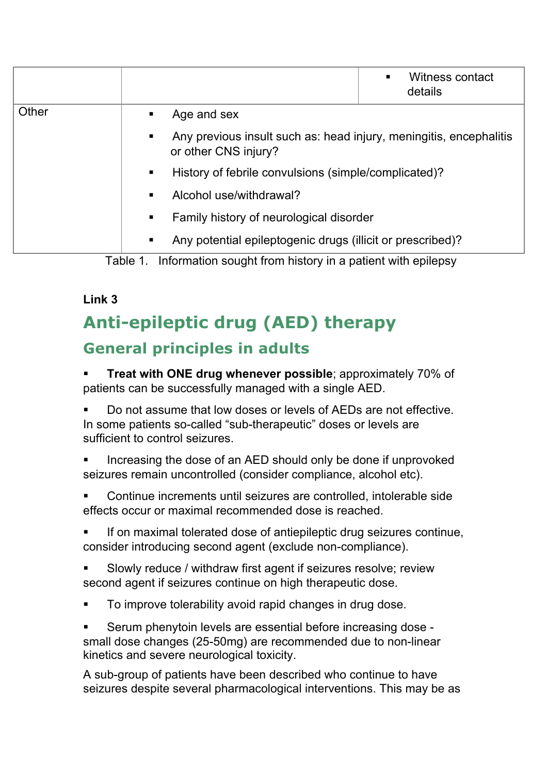|       |   |                                                                                            | Witness contact<br>$\blacksquare$<br>details |  |  |  |  |
|-------|---|--------------------------------------------------------------------------------------------|----------------------------------------------|--|--|--|--|
| Other |   | Age and sex                                                                                |                                              |  |  |  |  |
|       | ٠ | Any previous insult such as: head injury, meningitis, encephalitis<br>or other CNS injury? |                                              |  |  |  |  |
|       | ٠ | History of febrile convulsions (simple/complicated)?                                       |                                              |  |  |  |  |
|       |   | Alcohol use/withdrawal?                                                                    |                                              |  |  |  |  |
|       |   | Family history of neurological disorder                                                    |                                              |  |  |  |  |
|       | ٠ | Any potential epileptogenic drugs (illicit or prescribed)?                                 |                                              |  |  |  |  |

Table 1. Information sought from history in a patient with epilepsy

#### **Link 3**

# **Anti-epileptic drug (AED) therapy General principles in adults**

**Treat with ONE drug whenever possible**; approximately 70% of patients can be successfully managed with a single AED.

! Do not assume that low doses or levels of AEDs are not effective. In some patients so-called "sub-therapeutic" doses or levels are sufficient to control seizures.

Increasing the dose of an AED should only be done if unprovoked seizures remain uncontrolled (consider compliance, alcohol etc).

! Continue increments until seizures are controlled, intolerable side effects occur or maximal recommended dose is reached.

If on maximal tolerated dose of antiepileptic drug seizures continue, consider introducing second agent (exclude non-compliance).

Slowly reduce / withdraw first agent if seizures resolve; review second agent if seizures continue on high therapeutic dose.

! To improve tolerability avoid rapid changes in drug dose.

! Serum phenytoin levels are essential before increasing dose small dose changes (25-50mg) are recommended due to non-linear kinetics and severe neurological toxicity.

A sub-group of patients have been described who continue to have seizures despite several pharmacological interventions. This may be as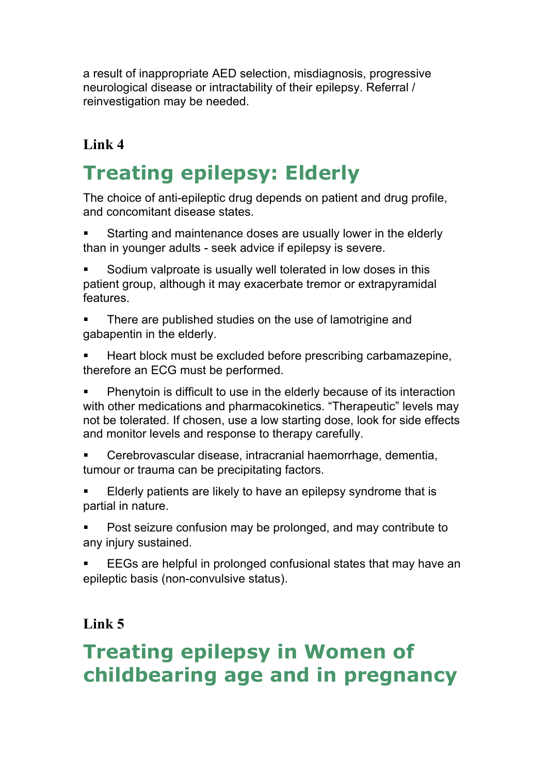a result of inappropriate AED selection, misdiagnosis, progressive neurological disease or intractability of their epilepsy. Referral / reinvestigation may be needed.

### **Link 4**

# **Treating epilepsy: Elderly**

The choice of anti-epileptic drug depends on patient and drug profile, and concomitant disease states.

- Starting and maintenance doses are usually lower in the elderly than in younger adults - seek advice if epilepsy is severe.
- Sodium valproate is usually well tolerated in low doses in this patient group, although it may exacerbate tremor or extrapyramidal features.
- There are published studies on the use of lamotrigine and gabapentin in the elderly.
- ! Heart block must be excluded before prescribing carbamazepine, therefore an ECG must be performed.
- ! Phenytoin is difficult to use in the elderly because of its interaction with other medications and pharmacokinetics. "Therapeutic" levels may not be tolerated. If chosen, use a low starting dose, look for side effects and monitor levels and response to therapy carefully.
- ! Cerebrovascular disease, intracranial haemorrhage, dementia, tumour or trauma can be precipitating factors.
- Elderly patients are likely to have an epilepsy syndrome that is partial in nature.
- ! Post seizure confusion may be prolonged, and may contribute to any injury sustained.
- EEGs are helpful in prolonged confusional states that may have an epileptic basis (non-convulsive status).

### **Link 5**

# **Treating epilepsy in Women of childbearing age and in pregnancy**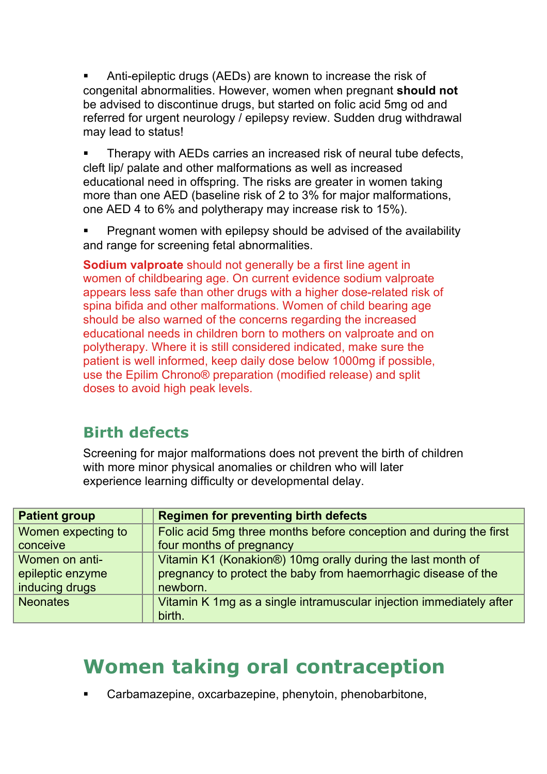! Anti-epileptic drugs (AEDs) are known to increase the risk of congenital abnormalities. However, women when pregnant **should not** be advised to discontinue drugs, but started on folic acid 5mg od and referred for urgent neurology / epilepsy review. Sudden drug withdrawal may lead to status!

Therapy with AEDs carries an increased risk of neural tube defects, cleft lip/ palate and other malformations as well as increased educational need in offspring. The risks are greater in women taking more than one AED (baseline risk of 2 to 3% for major malformations, one AED 4 to 6% and polytherapy may increase risk to 15%).

Pregnant women with epilepsy should be advised of the availability and range for screening fetal abnormalities.

**Sodium valproate** should not generally be a first line agent in women of childbearing age. On current evidence sodium valproate appears less safe than other drugs with a higher dose-related risk of spina bifida and other malformations. Women of child bearing age should be also warned of the concerns regarding the increased educational needs in children born to mothers on valproate and on polytherapy. Where it is still considered indicated, make sure the patient is well informed, keep daily dose below 1000mg if possible, use the Epilim Chrono® preparation (modified release) and split doses to avoid high peak levels.

### **Birth defects**

Screening for major malformations does not prevent the birth of children with more minor physical anomalies or children who will later experience learning difficulty or developmental delay.

| <b>Patient group</b> | <b>Regimen for preventing birth defects</b>                         |
|----------------------|---------------------------------------------------------------------|
| Women expecting to   | Folic acid 5mg three months before conception and during the first  |
| conceive             | four months of pregnancy                                            |
| Women on anti-       | Vitamin K1 (Konakion®) 10mg orally during the last month of         |
| epileptic enzyme     | pregnancy to protect the baby from haemorrhagic disease of the      |
| inducing drugs       | newborn.                                                            |
| <b>Neonates</b>      | Vitamin K 1mg as a single intramuscular injection immediately after |
|                      | birth.                                                              |

## **Women taking oral contraception**

! Carbamazepine, oxcarbazepine, phenytoin, phenobarbitone,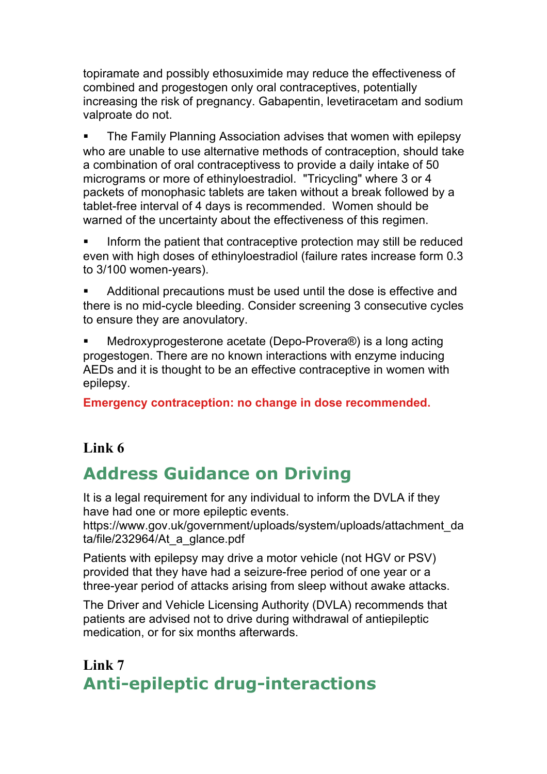topiramate and possibly ethosuximide may reduce the effectiveness of combined and progestogen only oral contraceptives, potentially increasing the risk of pregnancy. Gabapentin, levetiracetam and sodium valproate do not.

! The Family Planning Association advises that women with epilepsy who are unable to use alternative methods of contraception, should take a combination of oral contraceptivess to provide a daily intake of 50 micrograms or more of ethinyloestradiol. "Tricycling" where 3 or 4 packets of monophasic tablets are taken without a break followed by a tablet-free interval of 4 days is recommended. Women should be warned of the uncertainty about the effectiveness of this regimen.

Inform the patient that contraceptive protection may still be reduced even with high doses of ethinyloestradiol (failure rates increase form 0.3 to 3/100 women-years).

Additional precautions must be used until the dose is effective and there is no mid-cycle bleeding. Consider screening 3 consecutive cycles to ensure they are anovulatory.

! Medroxyprogesterone acetate (Depo-Provera®) is a long acting progestogen. There are no known interactions with enzyme inducing AEDs and it is thought to be an effective contraceptive in women with epilepsy.

**Emergency contraception: no change in dose recommended.** 

### **Link 6**

### **Address Guidance on Driving**

It is a legal requirement for any individual to inform the DVLA if they have had one or more epileptic events.

https://www.gov.uk/government/uploads/system/uploads/attachment\_da ta/file/232964/At\_a\_glance.pdf

Patients with epilepsy may drive a motor vehicle (not HGV or PSV) provided that they have had a seizure-free period of one year or a three-year period of attacks arising from sleep without awake attacks.

The Driver and Vehicle Licensing Authority (DVLA) recommends that patients are advised not to drive during withdrawal of antiepileptic medication, or for six months afterwards.

**Link 7 Anti-epileptic drug-interactions**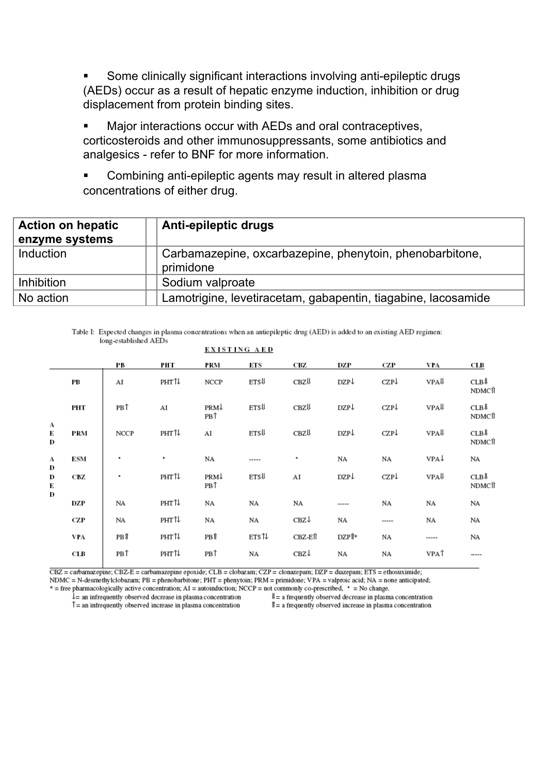Some clinically significant interactions involving anti-epileptic drugs (AEDs) occur as a result of hepatic enzyme induction, inhibition or drug displacement from protein binding sites.

Major interactions occur with AEDs and oral contraceptives, corticosteroids and other immunosuppressants, some antibiotics and analgesics - refer to BNF for more information.

Combining anti-epileptic agents may result in altered plasma concentrations of either drug.

| <b>Action on hepatic</b><br>enzyme systems | <b>Anti-epileptic drugs</b>                                           |
|--------------------------------------------|-----------------------------------------------------------------------|
| Induction                                  | Carbamazepine, oxcarbazepine, phenytoin, phenobarbitone,<br>primidone |
| Inhibition                                 | Sodium valproate                                                      |
| No action                                  | Lamotrigine, levetiracetam, gabapentin, tiagabine, lacosamide         |

Table I: Expected changes in plasma concentrations when an antiepileptic drug (AED) is added to an existing AED regimen: long-established AEDs

|              |     |      |       | <b>EXISTING AED</b> |             |         |       |       |             |                |
|--------------|-----|------|-------|---------------------|-------------|---------|-------|-------|-------------|----------------|
|              |     | PВ   | РНТ   | PRM                 | СTS         | CBZ     | DZP   | CZP   | VPA         | CLB            |
|              | PВ  | AI   | PHT↑↓ | NCCP                | <b>ETSU</b> | CBZ↓    | DZP↓  | CZP↓  | VPA↓        | CLB↓<br>NDMCff |
|              | PHT | PB↑  | AI    | PRM↓<br>PB↑         | ETSU        | CBZ↓    | DZP↓  | CZP↓  | VPA↓        | CLB↓<br>NDMCff |
| А<br>É<br>D  | PRM | NCCP | PHT↑↓ | AI                  | <b>ETSU</b> | CBZ↓    | DZP↓  | CZP↓  | VPA↓        | CLB↓<br>NDMCÎÎ |
| А<br>D       | ESM | ٠    | ٠     | NA                  | -----       | ٠       | NA    | NA    | VPA↓        | NA             |
| D<br>ť,<br>D | CBZ | ٠    | PHT∜  | PRM↓<br>PB↑         | <b>ETSU</b> | AI      | DZP↓  | CZP↓  | VPA↓        | CLB↓<br>NDMCff |
|              | DZP | NA   | PHT↑↓ | NA                  | NA          | NA      | ----- | NA    | NA          | NA             |
|              | CZP | NA   | PHT1↓ | NA                  | NA          | CBZ↓    | NA    | ----- | NA          | NA             |
|              | VPA | PB↑  | PHT1↓ | PB↑                 | ets 1       | CBZ-EÎÎ | DZPÎ* | NA    | -----       | NA             |
|              | CLB | PB↑  | PHT↑↓ | PB <sup>1</sup>     | NA          | CBZ↓    | NA    | NA    | <b>VPAT</b> | ----           |
|              |     |      |       |                     |             |         |       |       |             |                |

CBZ = carbamazepine; CBZ-E = carbamazepine epoxide; CLB = clobazam; CZP = clonazepam; DZP = diazepam; ETS = ethosuximide; NDMC = N-desmethylclobazam; PB = phenobarbitone; PHT = phenytoin; PRM = primidone; VPA = valproic acid; NA = none anticipated;

\* = free pharmacologically active concentration; AI = autoinduction; NCCP = not commonly co-prescribed, \* = No change.

 $\hat{l}$  = an infrequently observed decrease in plasma concentration

 $\uparrow$  = an infrequently observed increase in plasma concentration

 $\Downarrow$  = a frequently observed decrease in plasma concentration Î = a frequently observed increase in plasma concentration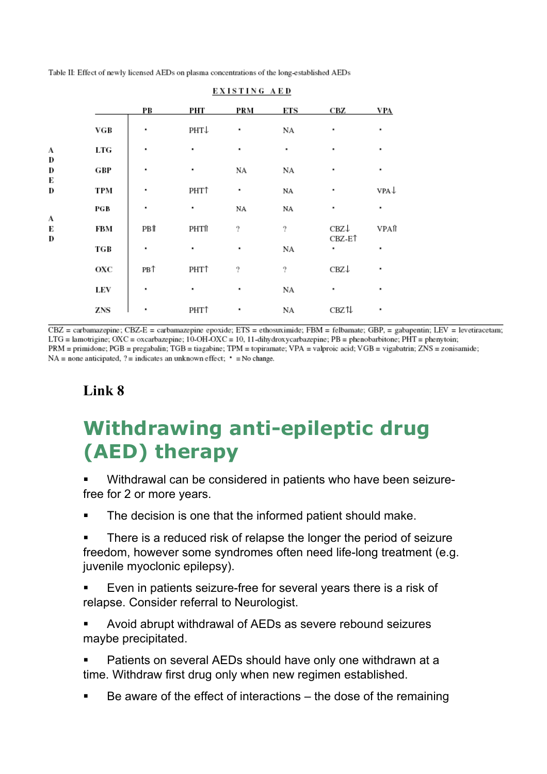Table II: Effect of newly licensed AEDs on plasma concentrations of the long-established AEDs

|             |     | PВ  | PHT              | <b>PRM</b> | ЕTS              | CBZ                     | <b>VPA</b> |
|-------------|-----|-----|------------------|------------|------------------|-------------------------|------------|
|             | VGB | ٠   | PHT↓             | ٠          | NΑ               | ٠                       | ٠          |
| A           | LTG | ٠   | ٠                | ٠          | ٠                | ٠                       | ٠          |
| D<br>D      | GBP | ٠   | ٠                | NА         | NΑ               | ٠                       | ٠          |
| К<br>D      | TPM | ٠   | PHT <sup>+</sup> | ٠          | NA               | ٠                       | VPA↓       |
| A<br>Е<br>D | PGB | ٠   | ٠                | NA         | NA               | ٠                       | ٠          |
|             | FBM | PBŤ | PHTf             | 2          | $\boldsymbol{v}$ | CBZ↓                    | VPAft      |
|             | TGB | ٠   | ٠                | ٠          | NA               | CBZ-E <sup>1</sup><br>٠ | ٠          |
|             | охс | PB↑ | PHT <sup>+</sup> | 7          | 7                | CBZ↓                    | ٠          |
|             | LEV | ٠   | ٠                | ٠          | NΑ               | ٠                       | ٠          |
|             | ZNS |     | PHT <sup>+</sup> | ٠          | NA               | CBZ1↓                   | ٠          |

#### EXISTING AED

 $CBZ$  = carbamazepine; CBZ-E = carbamazepine epoxide; ETS = ethosuximide; FBM = felbamate; GBP, = gabapentin; LEV = levetiracetam; LTG = lamotrigine; OXC = oxcarbazepine;  $10$ -OH-OXC = 10, 11-dihydroxycarbazepine; PB = phenobarbitone; PHT = phenytoin; PRM = primidone; PGB = pregabalin; TGB = tiagabine; TPM = topiramate; VPA = valproic acid; VGB = vigabatrin; ZNS = zonisamide;  $NA = none$  anticipated, ? = indicates an unknown effect;  $\cdot$  = No change.

### **Link 8**

# **Withdrawing anti-epileptic drug (AED) therapy**

Withdrawal can be considered in patients who have been seizurefree for 2 or more years.

- The decision is one that the informed patient should make.
- There is a reduced risk of relapse the longer the period of seizure freedom, however some syndromes often need life-long treatment (e.g. juvenile myoclonic epilepsy).
- Even in patients seizure-free for several years there is a risk of relapse. Consider referral to Neurologist.
- Avoid abrupt withdrawal of AEDs as severe rebound seizures maybe precipitated.
- Patients on several AEDs should have only one withdrawn at a time. Withdraw first drug only when new regimen established.
- Be aware of the effect of interactions the dose of the remaining